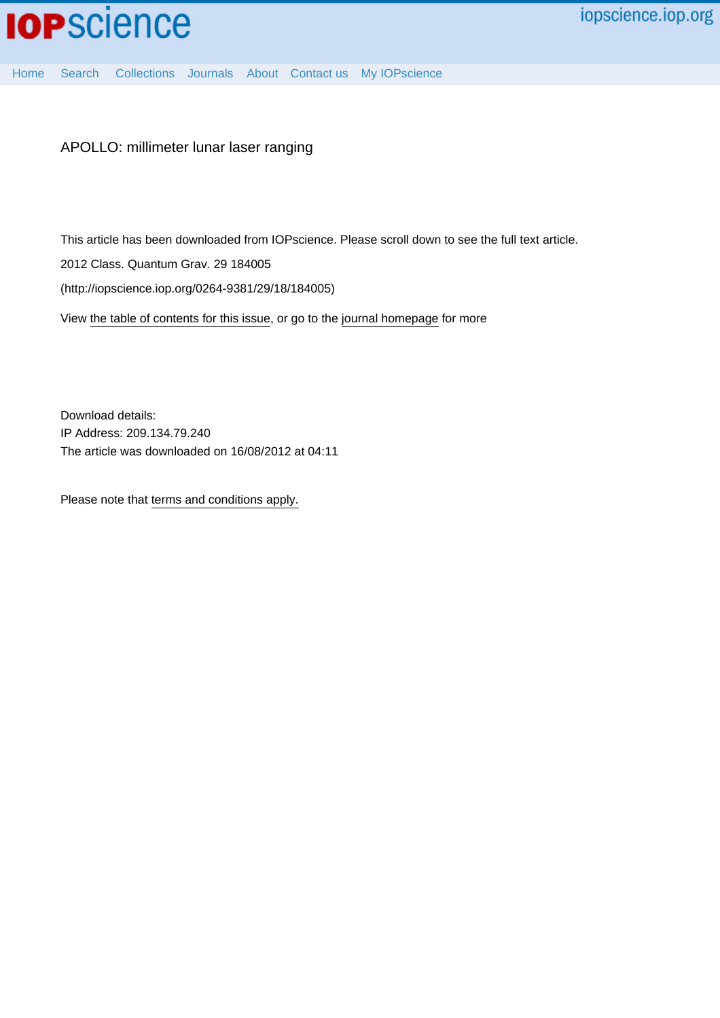

[Home](http://iopscience.iop.org/) [Search](http://iopscience.iop.org/search) [Collections](http://iopscience.iop.org/collections) [Journals](http://iopscience.iop.org/journals) [About](http://iopscience.iop.org/page/aboutioppublishing) [Contact us](http://iopscience.iop.org/contact) [My IOPscience](http://iopscience.iop.org/myiopscience)

APOLLO: millimeter lunar laser ranging

This article has been downloaded from IOPscience. Please scroll down to see the full text article.

2012 Class. Quantum Grav. 29 184005

(http://iopscience.iop.org/0264-9381/29/18/184005)

View [the table of contents for this issue](http://iopscience.iop.org/0264-9381/29/18), or go to the [journal homepage](http://iopscience.iop.org/0264-9381) for more

Download details: IP Address: 209.134.79.240 The article was downloaded on 16/08/2012 at 04:11

Please note that [terms and conditions apply.](http://iopscience.iop.org/page/terms)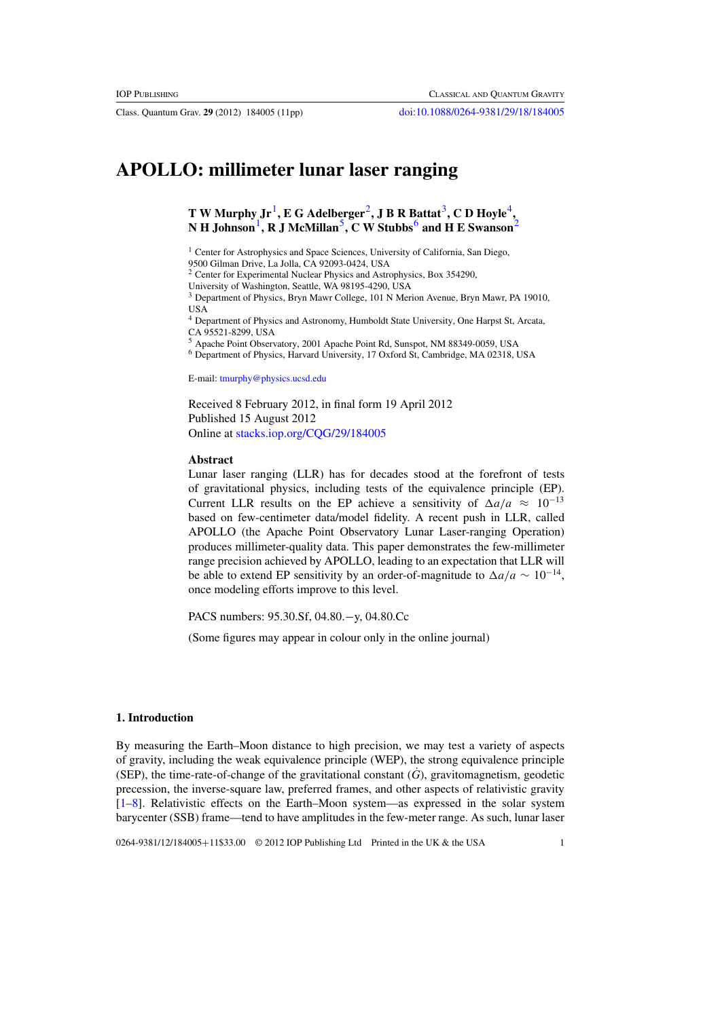Class. Quantum Grav. **29** (2012) 184005 (11pp) [doi:10.1088/0264-9381/29/18/184005](http://dx.doi.org/10.1088/0264-9381/29/18/184005)

# **APOLLO: millimeter lunar laser ranging**

**T** W Murphy  $Jr^1$ , **E** G Adelberger<sup>2</sup>, **J B** R Battat<sup>3</sup>, **C D** Hoyle<sup>4</sup>, **N H Johnson**1**, R J McMillan**5**, C W Stubbs**<sup>6</sup> **and H E Swanson**<sup>2</sup>

<sup>1</sup> Center for Astrophysics and Space Sciences, University of California, San Diego, 9500 Gilman Drive, La Jolla, CA 92093-0424, USA

<sup>2</sup> Center for Experimental Nuclear Physics and Astrophysics, Box 354290,

University of Washington, Seattle, WA 98195-4290, USA

<sup>3</sup> Department of Physics, Bryn Mawr College, 101 N Merion Avenue, Bryn Mawr, PA 19010, USA

<sup>4</sup> Department of Physics and Astronomy, Humboldt State University, One Harpst St, Arcata, CA 95521-8299, USA

<sup>5</sup> Apache Point Observatory, 2001 Apache Point Rd, Sunspot, NM 88349-0059, USA

<sup>6</sup> Department of Physics, Harvard University, 17 Oxford St, Cambridge, MA 02318, USA

E-mail: [tmurphy@physics.ucsd.edu](mailto:tmurphy@physics.ucsd.edu)

Received 8 February 2012, in final form 19 April 2012 Published 15 August 2012 Online at [stacks.iop.org/CQG/29/184005](http://stacks.iop.org/CQG/29/184005)

#### **Abstract**

Lunar laser ranging (LLR) has for decades stood at the forefront of tests of gravitational physics, including tests of the equivalence principle (EP). Current LLR results on the EP achieve a sensitivity of  $\Delta a/a \approx 10^{-13}$ based on few-centimeter data/model fidelity. A recent push in LLR, called APOLLO (the Apache Point Observatory Lunar Laser-ranging Operation) produces millimeter-quality data. This paper demonstrates the few-millimeter range precision achieved by APOLLO, leading to an expectation that LLR will be able to extend EP sensitivity by an order-of-magnitude to  $\Delta a/a \sim 10^{-14}$ , once modeling efforts improve to this level.

PACS numbers: 95.30.Sf, 04.80.−y, 04.80.Cc

(Some figures may appear in colour only in the online journal)

## **1. Introduction**

By measuring the Earth–Moon distance to high precision, we may test a variety of aspects of gravity, including the weak equivalence principle (WEP), the strong equivalence principle (SEP), the time-rate-of-change of the gravitational constant  $(G)$ , gravitomagnetism, geodetic precession, the inverse-square law, preferred frames, and other aspects of relativistic gravity [\[1](#page-10-0)[–8](#page-11-0)]. Relativistic effects on the Earth–Moon system—as expressed in the solar system barycenter (SSB) frame—tend to have amplitudes in the few-meter range. As such, lunar laser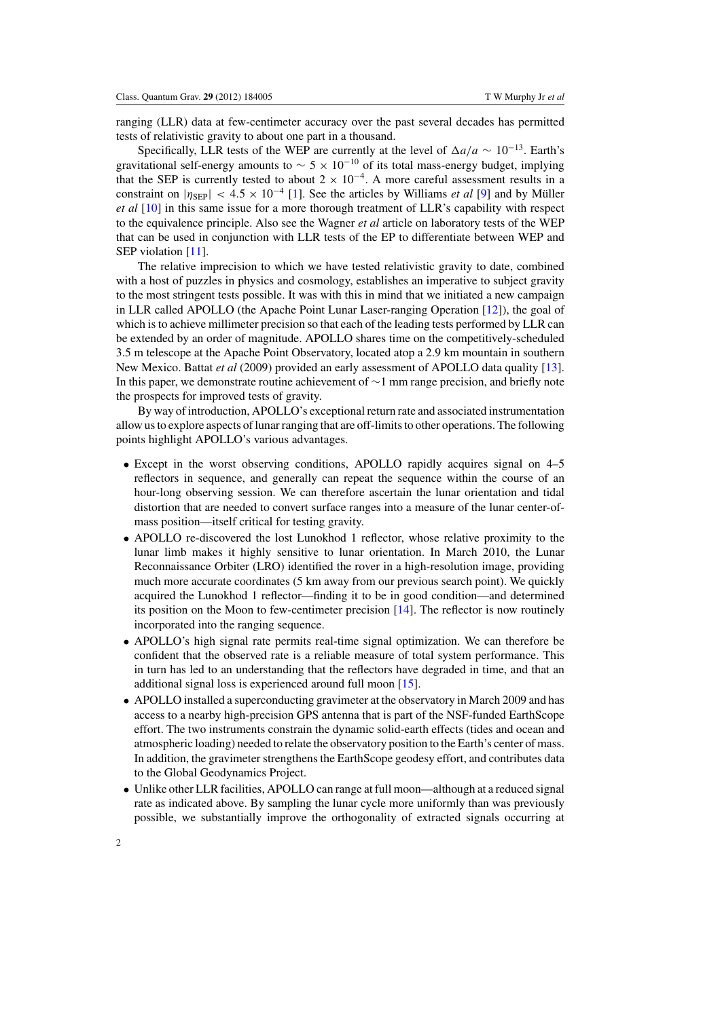ranging (LLR) data at few-centimeter accuracy over the past several decades has permitted tests of relativistic gravity to about one part in a thousand.

Specifically, LLR tests of the WEP are currently at the level of  $\Delta a/a \sim 10^{-13}$ . Earth's gravitational self-energy amounts to  $\sim 5 \times 10^{-10}$  of its total mass-energy budget, implying that the SEP is currently tested to about  $2 \times 10^{-4}$ . A more careful assessment results in a constraint on  $|\eta_{\rm SEP}| < 4.5 \times 10^{-4}$  [\[1\]](#page-10-0). See the articles by Williams *et al* [\[9](#page-11-0)] and by Müller *et al* [\[10](#page-11-0)] in this same issue for a more thorough treatment of LLR's capability with respect to the equivalence principle. Also see the Wagner *et al* article on laboratory tests of the WEP that can be used in conjunction with LLR tests of the EP to differentiate between WEP and SEP violation [\[11\]](#page-11-0).

The relative imprecision to which we have tested relativistic gravity to date, combined with a host of puzzles in physics and cosmology, establishes an imperative to subject gravity to the most stringent tests possible. It was with this in mind that we initiated a new campaign in LLR called APOLLO (the Apache Point Lunar Laser-ranging Operation [\[12\]](#page-11-0)), the goal of which is to achieve millimeter precision so that each of the leading tests performed by LLR can be extended by an order of magnitude. APOLLO shares time on the competitively-scheduled 3.5 m telescope at the Apache Point Observatory, located atop a 2.9 km mountain in southern New Mexico. Battat *et al* (2009) provided an early assessment of APOLLO data quality [\[13\]](#page-11-0). In this paper, we demonstrate routine achievement of ∼1 mm range precision, and briefly note the prospects for improved tests of gravity.

By way of introduction, APOLLO's exceptional return rate and associated instrumentation allow us to explore aspects of lunar ranging that are off-limits to other operations. The following points highlight APOLLO's various advantages.

- Except in the worst observing conditions, APOLLO rapidly acquires signal on 4–5 reflectors in sequence, and generally can repeat the sequence within the course of an hour-long observing session. We can therefore ascertain the lunar orientation and tidal distortion that are needed to convert surface ranges into a measure of the lunar center-ofmass position—itself critical for testing gravity.
- APOLLO re-discovered the lost Lunokhod 1 reflector, whose relative proximity to the lunar limb makes it highly sensitive to lunar orientation. In March 2010, the Lunar Reconnaissance Orbiter (LRO) identified the rover in a high-resolution image, providing much more accurate coordinates (5 km away from our previous search point). We quickly acquired the Lunokhod 1 reflector—finding it to be in good condition—and determined its position on the Moon to few-centimeter precision [\[14](#page-11-0)]. The reflector is now routinely incorporated into the ranging sequence.
- APOLLO's high signal rate permits real-time signal optimization. We can therefore be confident that the observed rate is a reliable measure of total system performance. This in turn has led to an understanding that the reflectors have degraded in time, and that an additional signal loss is experienced around full moon [\[15](#page-11-0)].
- APOLLO installed a superconducting gravimeter at the observatory in March 2009 and has access to a nearby high-precision GPS antenna that is part of the NSF-funded EarthScope effort. The two instruments constrain the dynamic solid-earth effects (tides and ocean and atmospheric loading) needed to relate the observatory position to the Earth's center of mass. In addition, the gravimeter strengthens the EarthScope geodesy effort, and contributes data to the Global Geodynamics Project.
- Unlike other LLR facilities, APOLLO can range at full moon—although at a reduced signal rate as indicated above. By sampling the lunar cycle more uniformly than was previously possible, we substantially improve the orthogonality of extracted signals occurring at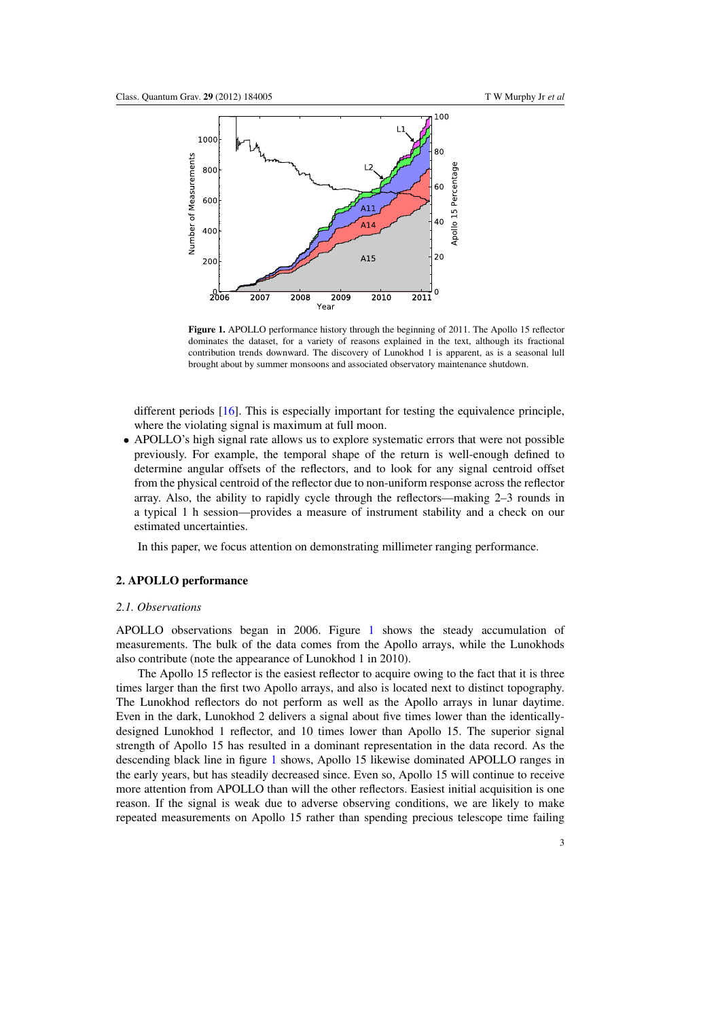

**Figure 1.** APOLLO performance history through the beginning of 2011. The Apollo 15 reflector dominates the dataset, for a variety of reasons explained in the text, although its fractional contribution trends downward. The discovery of Lunokhod 1 is apparent, as is a seasonal lull brought about by summer monsoons and associated observatory maintenance shutdown.

different periods [\[16\]](#page-11-0). This is especially important for testing the equivalence principle, where the violating signal is maximum at full moon.

• APOLLO's high signal rate allows us to explore systematic errors that were not possible previously. For example, the temporal shape of the return is well-enough defined to determine angular offsets of the reflectors, and to look for any signal centroid offset from the physical centroid of the reflector due to non-uniform response across the reflector array. Also, the ability to rapidly cycle through the reflectors—making 2–3 rounds in a typical 1 h session—provides a measure of instrument stability and a check on our estimated uncertainties.

In this paper, we focus attention on demonstrating millimeter ranging performance.

# **2. APOLLO performance**

#### *2.1. Observations*

APOLLO observations began in 2006. Figure 1 shows the steady accumulation of measurements. The bulk of the data comes from the Apollo arrays, while the Lunokhods also contribute (note the appearance of Lunokhod 1 in 2010).

The Apollo 15 reflector is the easiest reflector to acquire owing to the fact that it is three times larger than the first two Apollo arrays, and also is located next to distinct topography. The Lunokhod reflectors do not perform as well as the Apollo arrays in lunar daytime. Even in the dark, Lunokhod 2 delivers a signal about five times lower than the identicallydesigned Lunokhod 1 reflector, and 10 times lower than Apollo 15. The superior signal strength of Apollo 15 has resulted in a dominant representation in the data record. As the descending black line in figure 1 shows, Apollo 15 likewise dominated APOLLO ranges in the early years, but has steadily decreased since. Even so, Apollo 15 will continue to receive more attention from APOLLO than will the other reflectors. Easiest initial acquisition is one reason. If the signal is weak due to adverse observing conditions, we are likely to make repeated measurements on Apollo 15 rather than spending precious telescope time failing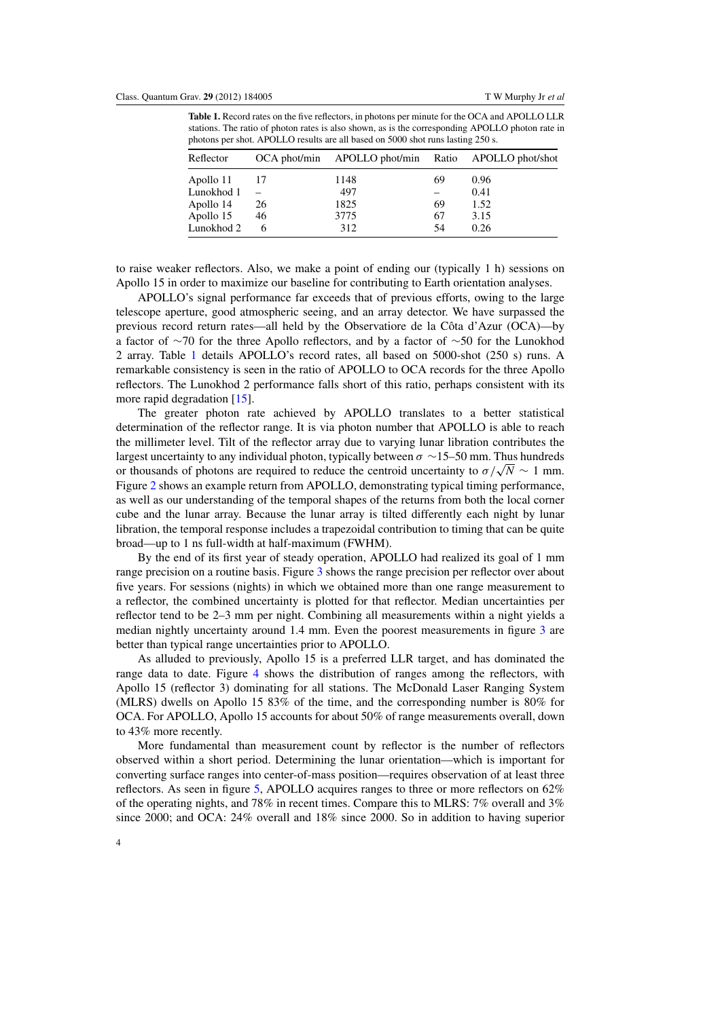**Table 1.** Record rates on the five reflectors, in photons per minute for the OCA and APOLLO LLR stations. The ratio of photon rates is also shown, as is the corresponding APOLLO photon rate in photons per shot. APOLLO results are all based on 5000 shot runs lasting 250 s.

| Reflector  |    | OCA phot/min APOLLO phot/min Ratio APOLLO phot/shot |    |      |
|------------|----|-----------------------------------------------------|----|------|
| Apollo 11  |    | 1148                                                | 69 | 0.96 |
| Lunokhod 1 |    | 497                                                 |    | 0.41 |
| Apollo 14  | 26 | 1825                                                | 69 | 1.52 |
| Apollo 15  | 46 | 3775                                                | 67 | 3.15 |
| Lunokhod 2 |    | 312                                                 | 54 | 0.26 |

to raise weaker reflectors. Also, we make a point of ending our (typically 1 h) sessions on Apollo 15 in order to maximize our baseline for contributing to Earth orientation analyses.

APOLLO's signal performance far exceeds that of previous efforts, owing to the large telescope aperture, good atmospheric seeing, and an array detector. We have surpassed the previous record return rates—all held by the Observatiore de la Cota d'Azur (OCA)—by ˆ a factor of ∼70 for the three Apollo reflectors, and by a factor of ∼50 for the Lunokhod 2 array. Table 1 details APOLLO's record rates, all based on 5000-shot (250 s) runs. A remarkable consistency is seen in the ratio of APOLLO to OCA records for the three Apollo reflectors. The Lunokhod 2 performance falls short of this ratio, perhaps consistent with its more rapid degradation [\[15\]](#page-11-0).

The greater photon rate achieved by APOLLO translates to a better statistical determination of the reflector range. It is via photon number that APOLLO is able to reach the millimeter level. Tilt of the reflector array due to varying lunar libration contributes the largest uncertainty to any individual photon, typically between  $\sigma \sim 15–50$  mm. Thus hundreds or thousands of photons are required to reduce the centroid uncertainty to  $\sigma/\sqrt{N} \sim 1$  mm. Figure [2](#page-5-0) shows an example return from APOLLO, demonstrating typical timing performance, as well as our understanding of the temporal shapes of the returns from both the local corner cube and the lunar array. Because the lunar array is tilted differently each night by lunar libration, the temporal response includes a trapezoidal contribution to timing that can be quite broad—up to 1 ns full-width at half-maximum (FWHM).

By the end of its first year of steady operation, APOLLO had realized its goal of 1 mm range precision on a routine basis. Figure [3](#page-5-0) shows the range precision per reflector over about five years. For sessions (nights) in which we obtained more than one range measurement to a reflector, the combined uncertainty is plotted for that reflector. Median uncertainties per reflector tend to be 2–3 mm per night. Combining all measurements within a night yields a median nightly uncertainty around 1.4 mm. Even the poorest measurements in figure [3](#page-5-0) are better than typical range uncertainties prior to APOLLO.

As alluded to previously, Apollo 15 is a preferred LLR target, and has dominated the range data to date. Figure [4](#page-6-0) shows the distribution of ranges among the reflectors, with Apollo 15 (reflector 3) dominating for all stations. The McDonald Laser Ranging System (MLRS) dwells on Apollo 15 83% of the time, and the corresponding number is 80% for OCA. For APOLLO, Apollo 15 accounts for about 50% of range measurements overall, down to 43% more recently.

More fundamental than measurement count by reflector is the number of reflectors observed within a short period. Determining the lunar orientation—which is important for converting surface ranges into center-of-mass position—requires observation of at least three reflectors. As seen in figure [5,](#page-6-0) APOLLO acquires ranges to three or more reflectors on 62% of the operating nights, and 78% in recent times. Compare this to MLRS: 7% overall and 3% since 2000; and OCA: 24% overall and 18% since 2000. So in addition to having superior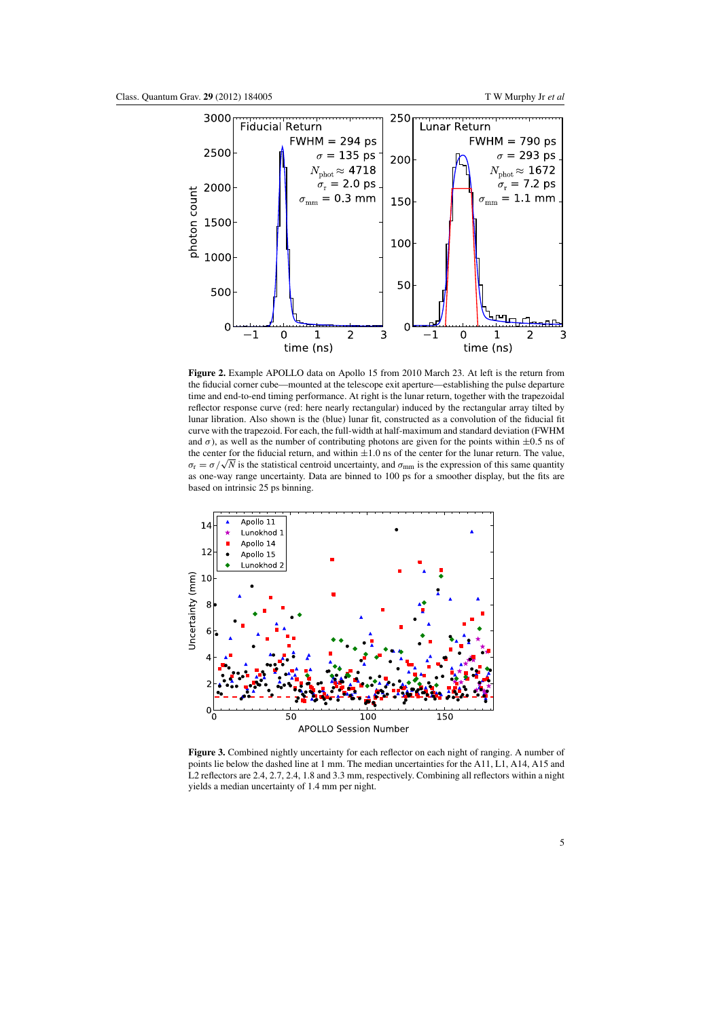<span id="page-5-0"></span>

**Figure 2.** Example APOLLO data on Apollo 15 from 2010 March 23. At left is the return from the fiducial corner cube—mounted at the telescope exit aperture—establishing the pulse departure time and end-to-end timing performance. At right is the lunar return, together with the trapezoidal reflector response curve (red: here nearly rectangular) induced by the rectangular array tilted by lunar libration. Also shown is the (blue) lunar fit, constructed as a convolution of the fiducial fit curve with the trapezoid. For each, the full-width at half-maximum and standard deviation (FWHM and  $\sigma$ ), as well as the number of contributing photons are given for the points within  $\pm 0.5$  ns of the center for the fiducial return, and within  $\pm 1.0$  ns of the center for the lunar return. The value,  $\sigma_{\rm r} = \sigma/\sqrt{N}$  is the statistical centroid uncertainty, and  $\sigma_{\rm mm}$  is the expression of this same quantity as one-way range uncertainty. Data are binned to 100 ps for a smoother display, but the fits are based on intrinsic 25 ps binning.



**Figure 3.** Combined nightly uncertainty for each reflector on each night of ranging. A number of points lie below the dashed line at 1 mm. The median uncertainties for the A11, L1, A14, A15 and L2 reflectors are 2.4, 2.7, 2.4, 1.8 and 3.3 mm, respectively. Combining all reflectors within a night yields a median uncertainty of 1.4 mm per night.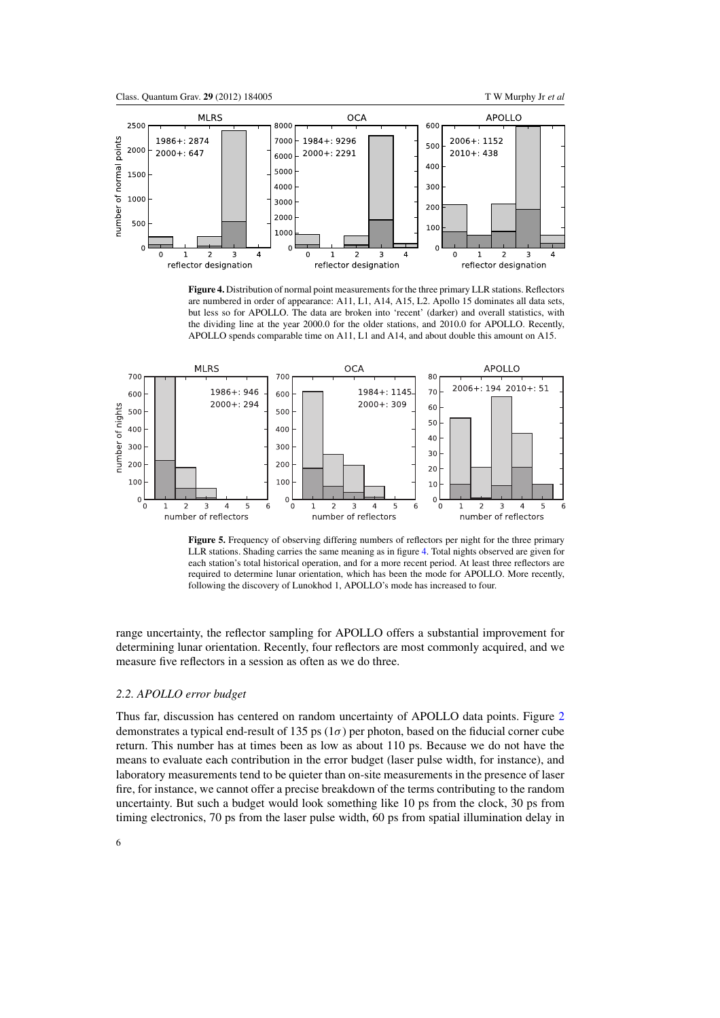<span id="page-6-0"></span>

**Figure 4.** Distribution of normal point measurements for the three primary LLR stations. Reflectors are numbered in order of appearance: A11, L1, A14, A15, L2. Apollo 15 dominates all data sets, but less so for APOLLO. The data are broken into 'recent' (darker) and overall statistics, with the dividing line at the year 2000.0 for the older stations, and 2010.0 for APOLLO. Recently, APOLLO spends comparable time on A11, L1 and A14, and about double this amount on A15.



Figure 5. Frequency of observing differing numbers of reflectors per night for the three primary LLR stations. Shading carries the same meaning as in figure 4. Total nights observed are given for each station's total historical operation, and for a more recent period. At least three reflectors are required to determine lunar orientation, which has been the mode for APOLLO. More recently, following the discovery of Lunokhod 1, APOLLO's mode has increased to four.

range uncertainty, the reflector sampling for APOLLO offers a substantial improvement for determining lunar orientation. Recently, four reflectors are most commonly acquired, and we measure five reflectors in a session as often as we do three.

# *2.2. APOLLO error budget*

Thus far, discussion has centered on random uncertainty of APOLLO data points. Figure [2](#page-5-0) demonstrates a typical end-result of 135 ps ( $1\sigma$ ) per photon, based on the fiducial corner cube return. This number has at times been as low as about 110 ps. Because we do not have the means to evaluate each contribution in the error budget (laser pulse width, for instance), and laboratory measurements tend to be quieter than on-site measurements in the presence of laser fire, for instance, we cannot offer a precise breakdown of the terms contributing to the random uncertainty. But such a budget would look something like 10 ps from the clock, 30 ps from timing electronics, 70 ps from the laser pulse width, 60 ps from spatial illumination delay in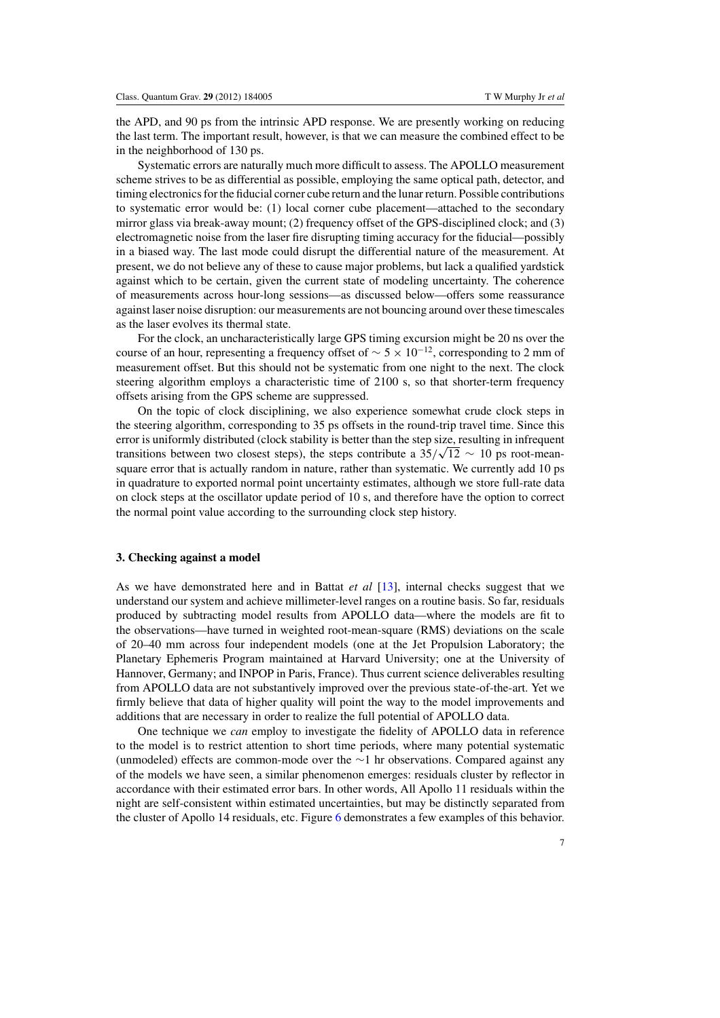the APD, and 90 ps from the intrinsic APD response. We are presently working on reducing the last term. The important result, however, is that we can measure the combined effect to be in the neighborhood of 130 ps.

Systematic errors are naturally much more difficult to assess. The APOLLO measurement scheme strives to be as differential as possible, employing the same optical path, detector, and timing electronics for the fiducial corner cube return and the lunar return. Possible contributions to systematic error would be: (1) local corner cube placement—attached to the secondary mirror glass via break-away mount; (2) frequency offset of the GPS-disciplined clock; and (3) electromagnetic noise from the laser fire disrupting timing accuracy for the fiducial—possibly in a biased way. The last mode could disrupt the differential nature of the measurement. At present, we do not believe any of these to cause major problems, but lack a qualified yardstick against which to be certain, given the current state of modeling uncertainty. The coherence of measurements across hour-long sessions—as discussed below—offers some reassurance against laser noise disruption: our measurements are not bouncing around over these timescales as the laser evolves its thermal state.

For the clock, an uncharacteristically large GPS timing excursion might be 20 ns over the course of an hour, representing a frequency offset of  $\sim 5 \times 10^{-12}$ , corresponding to 2 mm of measurement offset. But this should not be systematic from one night to the next. The clock steering algorithm employs a characteristic time of 2100 s, so that shorter-term frequency offsets arising from the GPS scheme are suppressed.

On the topic of clock disciplining, we also experience somewhat crude clock steps in the steering algorithm, corresponding to 35 ps offsets in the round-trip travel time. Since this error is uniformly distributed (clock stability is better than the step size, resulting in infrequent transitions between two closest steps), the steps contribute a  $35/\sqrt{12} \sim 10$  ps root-meansquare error that is actually random in nature, rather than systematic. We currently add 10 ps in quadrature to exported normal point uncertainty estimates, although we store full-rate data on clock steps at the oscillator update period of 10 s, and therefore have the option to correct the normal point value according to the surrounding clock step history.

## **3. Checking against a model**

As we have demonstrated here and in Battat *et al* [\[13](#page-11-0)], internal checks suggest that we understand our system and achieve millimeter-level ranges on a routine basis. So far, residuals produced by subtracting model results from APOLLO data—where the models are fit to the observations—have turned in weighted root-mean-square (RMS) deviations on the scale of 20–40 mm across four independent models (one at the Jet Propulsion Laboratory; the Planetary Ephemeris Program maintained at Harvard University; one at the University of Hannover, Germany; and INPOP in Paris, France). Thus current science deliverables resulting from APOLLO data are not substantively improved over the previous state-of-the-art. Yet we firmly believe that data of higher quality will point the way to the model improvements and additions that are necessary in order to realize the full potential of APOLLO data.

One technique we *can* employ to investigate the fidelity of APOLLO data in reference to the model is to restrict attention to short time periods, where many potential systematic (unmodeled) effects are common-mode over the ∼1 hr observations. Compared against any of the models we have seen, a similar phenomenon emerges: residuals cluster by reflector in accordance with their estimated error bars. In other words, All Apollo 11 residuals within the night are self-consistent within estimated uncertainties, but may be distinctly separated from the cluster of Apollo 14 residuals, etc. Figure [6](#page-8-0) demonstrates a few examples of this behavior.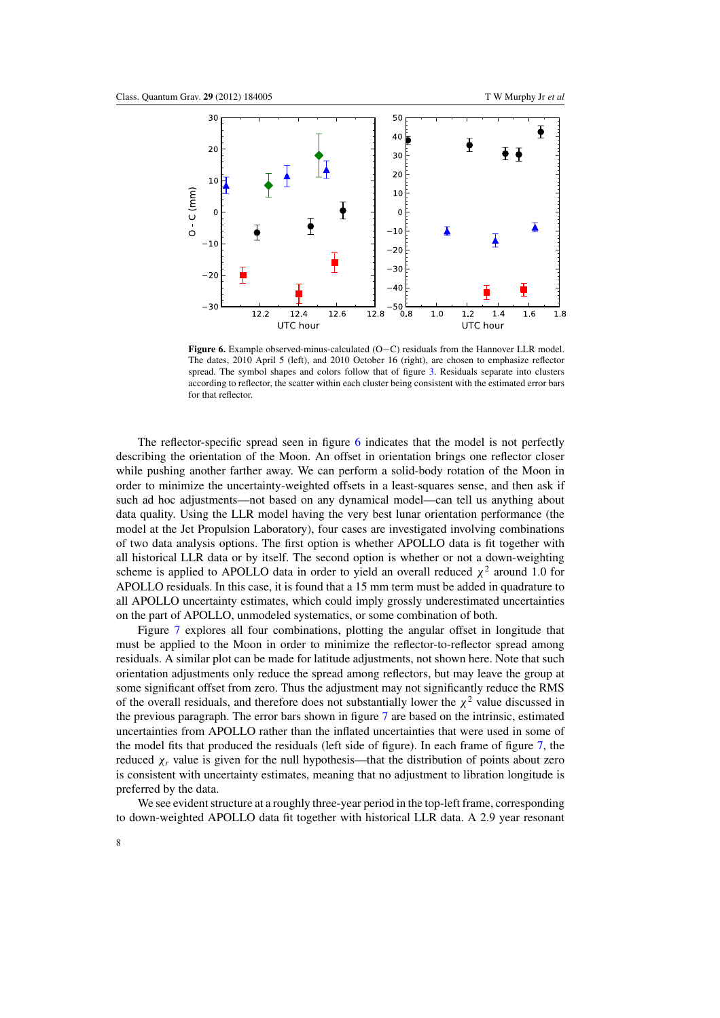<span id="page-8-0"></span>

**Figure 6.** Example observed-minus-calculated (O−C) residuals from the Hannover LLR model. The dates, 2010 April 5 (left), and 2010 October 16 (right), are chosen to emphasize reflector spread. The symbol shapes and colors follow that of figure [3.](#page-5-0) Residuals separate into clusters according to reflector, the scatter within each cluster being consistent with the estimated error bars for that reflector.

The reflector-specific spread seen in figure 6 indicates that the model is not perfectly describing the orientation of the Moon. An offset in orientation brings one reflector closer while pushing another farther away. We can perform a solid-body rotation of the Moon in order to minimize the uncertainty-weighted offsets in a least-squares sense, and then ask if such ad hoc adjustments—not based on any dynamical model—can tell us anything about data quality. Using the LLR model having the very best lunar orientation performance (the model at the Jet Propulsion Laboratory), four cases are investigated involving combinations of two data analysis options. The first option is whether APOLLO data is fit together with all historical LLR data or by itself. The second option is whether or not a down-weighting scheme is applied to APOLLO data in order to yield an overall reduced  $\chi^2$  around 1.0 for APOLLO residuals. In this case, it is found that a 15 mm term must be added in quadrature to all APOLLO uncertainty estimates, which could imply grossly underestimated uncertainties on the part of APOLLO, unmodeled systematics, or some combination of both.

Figure [7](#page-9-0) explores all four combinations, plotting the angular offset in longitude that must be applied to the Moon in order to minimize the reflector-to-reflector spread among residuals. A similar plot can be made for latitude adjustments, not shown here. Note that such orientation adjustments only reduce the spread among reflectors, but may leave the group at some significant offset from zero. Thus the adjustment may not significantly reduce the RMS of the overall residuals, and therefore does not substantially lower the  $\chi^2$  value discussed in the previous paragraph. The error bars shown in figure [7](#page-9-0) are based on the intrinsic, estimated uncertainties from APOLLO rather than the inflated uncertainties that were used in some of the model fits that produced the residuals (left side of figure). In each frame of figure [7,](#page-9-0) the reduced  $\chi_r$  value is given for the null hypothesis—that the distribution of points about zero is consistent with uncertainty estimates, meaning that no adjustment to libration longitude is preferred by the data.

We see evident structure at a roughly three-year period in the top-left frame, corresponding to down-weighted APOLLO data fit together with historical LLR data. A 2.9 year resonant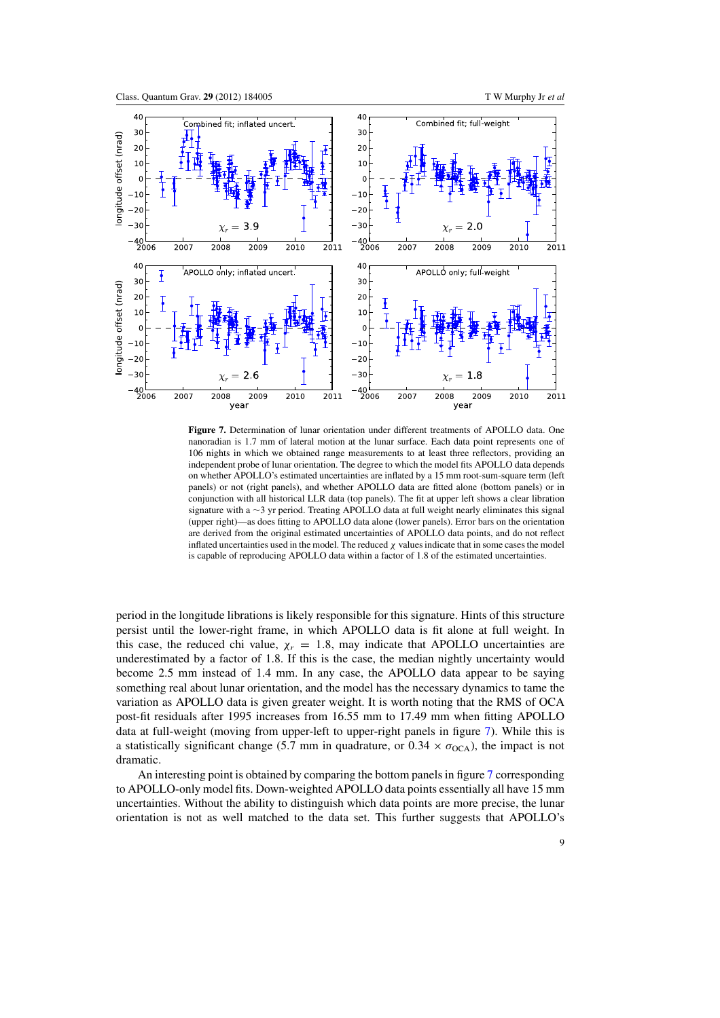<span id="page-9-0"></span>

**Figure 7.** Determination of lunar orientation under different treatments of APOLLO data. One nanoradian is 1.7 mm of lateral motion at the lunar surface. Each data point represents one of 106 nights in which we obtained range measurements to at least three reflectors, providing an independent probe of lunar orientation. The degree to which the model fits APOLLO data depends on whether APOLLO's estimated uncertainties are inflated by a 15 mm root-sum-square term (left panels) or not (right panels), and whether APOLLO data are fitted alone (bottom panels) or in conjunction with all historical LLR data (top panels). The fit at upper left shows a clear libration signature with a ∼3 yr period. Treating APOLLO data at full weight nearly eliminates this signal (upper right)—as does fitting to APOLLO data alone (lower panels). Error bars on the orientation are derived from the original estimated uncertainties of APOLLO data points, and do not reflect inflated uncertainties used in the model. The reduced  $\chi$  values indicate that in some cases the model is capable of reproducing APOLLO data within a factor of 1.8 of the estimated uncertainties.

period in the longitude librations is likely responsible for this signature. Hints of this structure persist until the lower-right frame, in which APOLLO data is fit alone at full weight. In this case, the reduced chi value,  $\chi_r = 1.8$ , may indicate that APOLLO uncertainties are underestimated by a factor of 1.8. If this is the case, the median nightly uncertainty would become 2.5 mm instead of 1.4 mm. In any case, the APOLLO data appear to be saying something real about lunar orientation, and the model has the necessary dynamics to tame the variation as APOLLO data is given greater weight. It is worth noting that the RMS of OCA post-fit residuals after 1995 increases from 16.55 mm to 17.49 mm when fitting APOLLO data at full-weight (moving from upper-left to upper-right panels in figure 7). While this is a statistically significant change (5.7 mm in quadrature, or  $0.34 \times \sigma_{\text{OCA}}$ ), the impact is not dramatic.

An interesting point is obtained by comparing the bottom panels in figure 7 corresponding to APOLLO-only model fits. Down-weighted APOLLO data points essentially all have 15 mm uncertainties. Without the ability to distinguish which data points are more precise, the lunar orientation is not as well matched to the data set. This further suggests that APOLLO's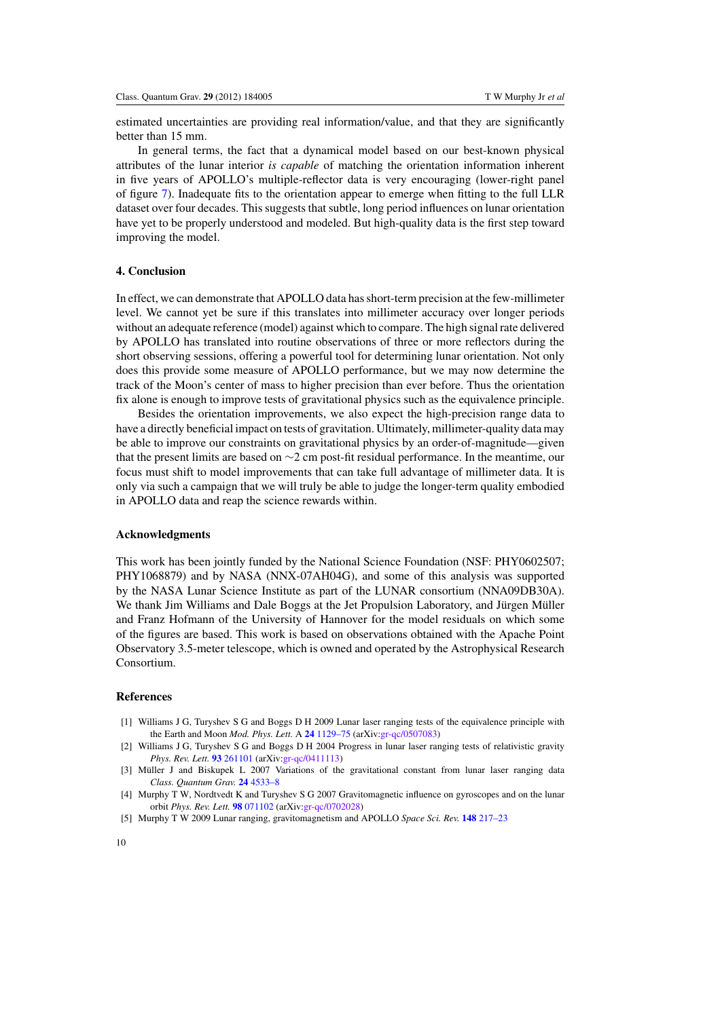<span id="page-10-0"></span>estimated uncertainties are providing real information/value, and that they are significantly better than 15 mm.

In general terms, the fact that a dynamical model based on our best-known physical attributes of the lunar interior *is capable* of matching the orientation information inherent in five years of APOLLO's multiple-reflector data is very encouraging (lower-right panel of figure [7\)](#page-9-0). Inadequate fits to the orientation appear to emerge when fitting to the full LLR dataset over four decades. This suggests that subtle, long period influences on lunar orientation have yet to be properly understood and modeled. But high-quality data is the first step toward improving the model.

## **4. Conclusion**

In effect, we can demonstrate that APOLLO data has short-term precision at the few-millimeter level. We cannot yet be sure if this translates into millimeter accuracy over longer periods without an adequate reference (model) against which to compare. The high signal rate delivered by APOLLO has translated into routine observations of three or more reflectors during the short observing sessions, offering a powerful tool for determining lunar orientation. Not only does this provide some measure of APOLLO performance, but we may now determine the track of the Moon's center of mass to higher precision than ever before. Thus the orientation fix alone is enough to improve tests of gravitational physics such as the equivalence principle.

Besides the orientation improvements, we also expect the high-precision range data to have a directly beneficial impact on tests of gravitation. Ultimately, millimeter-quality data may be able to improve our constraints on gravitational physics by an order-of-magnitude—given that the present limits are based on ∼2 cm post-fit residual performance. In the meantime, our focus must shift to model improvements that can take full advantage of millimeter data. It is only via such a campaign that we will truly be able to judge the longer-term quality embodied in APOLLO data and reap the science rewards within.

## **Acknowledgments**

This work has been jointly funded by the National Science Foundation (NSF: PHY0602507; PHY1068879) and by NASA (NNX-07AH04G), and some of this analysis was supported by the NASA Lunar Science Institute as part of the LUNAR consortium (NNA09DB30A). We thank Jim Williams and Dale Boggs at the Jet Propulsion Laboratory, and Jürgen Müller and Franz Hofmann of the University of Hannover for the model residuals on which some of the figures are based. This work is based on observations obtained with the Apache Point Observatory 3.5-meter telescope, which is owned and operated by the Astrophysical Research Consortium.

## **References**

- [1] Williams J G, Turyshev S G and Boggs D H 2009 Lunar laser ranging tests of the equivalence principle with the Earth and Moon *Mod. Phys. Lett.* A **24** [1129–75](http://dx.doi.org/10.1142/S0217732309028801) (arXiv[:gr-qc/0507083\)](http://arxiv.org/abs/gr-qc/0507083)
- [2] Williams J G, Turyshev S G and Boggs D H 2004 Progress in lunar laser ranging tests of relativistic gravity *Phys. Rev. Lett.* **93** [261101](http://dx.doi.org/10.1103/PhysRevLett.93.261101) (arXiv[:gr-qc/0411113\)](http://arxiv.org/abs/gr-qc/0411113)
- [3] Müller J and Biskupek L 2007 Variations of the gravitational constant from lunar laser ranging data *Class. Quantum Grav.* **24** [4533–8](http://dx.doi.org/10.1088/0264-9381/24/17/017)
- [4] Murphy T W, Nordtvedt K and Turyshev S G 2007 Gravitomagnetic influence on gyroscopes and on the lunar orbit *Phys. Rev. Lett.* **98** [071102](http://dx.doi.org/10.1103/PhysRevLett.98.071102) (arXiv[:gr-qc/0702028\)](http://arxiv.org/abs/gr-qc/0702028)
- [5] Murphy T W 2009 Lunar ranging, gravitomagnetism and APOLLO *Space Sci. Rev.* **148** [217–23](http://dx.doi.org/10.1007/s11214-009-9491-z)